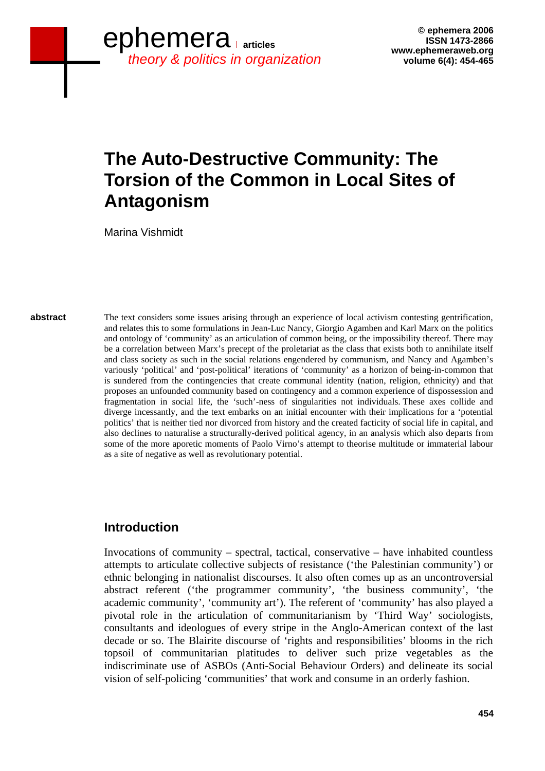# **The Auto-Destructive Community: The Torsion of the Common in Local Sites of Antagonism**

Marina Vishmidt

**abstract** 

The text considers some issues arising through an experience of local activism contesting gentrification, and relates this to some formulations in Jean-Luc Nancy, Giorgio Agamben and Karl Marx on the politics and ontology of 'community' as an articulation of common being, or the impossibility thereof. There may be a correlation between Marx's precept of the proletariat as the class that exists both to annihilate itself and class society as such in the social relations engendered by communism, and Nancy and Agamben's variously 'political' and 'post-political' iterations of 'community' as a horizon of being-in-common that is sundered from the contingencies that create communal identity (nation, religion, ethnicity) and that proposes an unfounded community based on contingency and a common experience of dispossession and fragmentation in social life, the 'such'-ness of singularities not individuals. These axes collide and diverge incessantly, and the text embarks on an initial encounter with their implications for a 'potential politics' that is neither tied nor divorced from history and the created facticity of social life in capital, and also declines to naturalise a structurally-derived political agency, in an analysis which also departs from some of the more aporetic moments of Paolo Virno's attempt to theorise multitude or immaterial labour as a site of negative as well as revolutionary potential.

### **Introduction**

Invocations of community – spectral, tactical, conservative – have inhabited countless attempts to articulate collective subjects of resistance ('the Palestinian community') or ethnic belonging in nationalist discourses. It also often comes up as an uncontroversial abstract referent ('the programmer community', 'the business community', 'the academic community', 'community art'). The referent of 'community' has also played a pivotal role in the articulation of communitarianism by 'Third Way' sociologists, consultants and ideologues of every stripe in the Anglo-American context of the last decade or so. The Blairite discourse of 'rights and responsibilities' blooms in the rich topsoil of communitarian platitudes to deliver such prize vegetables as the indiscriminate use of ASBOs (Anti-Social Behaviour Orders) and delineate its social vision of self-policing 'communities' that work and consume in an orderly fashion.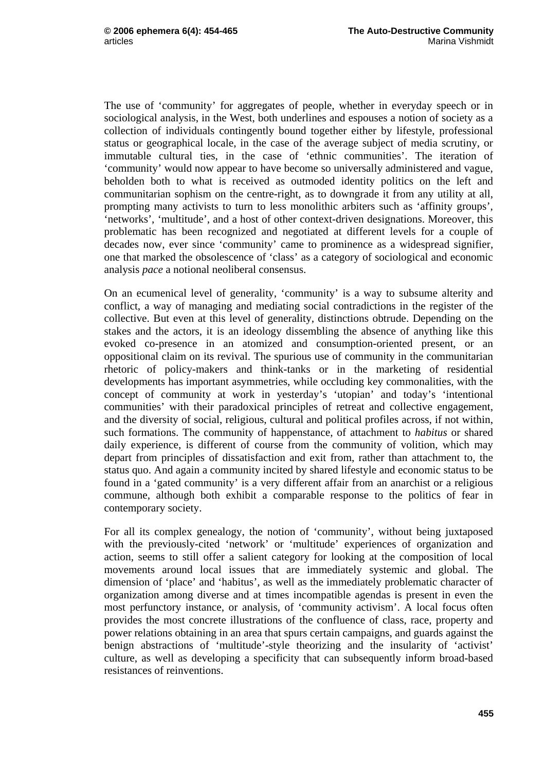The use of 'community' for aggregates of people, whether in everyday speech or in sociological analysis, in the West, both underlines and espouses a notion of society as a collection of individuals contingently bound together either by lifestyle, professional status or geographical locale, in the case of the average subject of media scrutiny, or immutable cultural ties, in the case of 'ethnic communities'. The iteration of 'community' would now appear to have become so universally administered and vague, beholden both to what is received as outmoded identity politics on the left and communitarian sophism on the centre-right, as to downgrade it from any utility at all, prompting many activists to turn to less monolithic arbiters such as 'affinity groups', 'networks', 'multitude', and a host of other context-driven designations. Moreover, this problematic has been recognized and negotiated at different levels for a couple of decades now, ever since 'community' came to prominence as a widespread signifier, one that marked the obsolescence of 'class' as a category of sociological and economic analysis *pace* a notional neoliberal consensus.

On an ecumenical level of generality, 'community' is a way to subsume alterity and conflict, a way of managing and mediating social contradictions in the register of the collective. But even at this level of generality, distinctions obtrude. Depending on the stakes and the actors, it is an ideology dissembling the absence of anything like this evoked co-presence in an atomized and consumption-oriented present, or an oppositional claim on its revival. The spurious use of community in the communitarian rhetoric of policy-makers and think-tanks or in the marketing of residential developments has important asymmetries, while occluding key commonalities, with the concept of community at work in yesterday's 'utopian' and today's 'intentional communities' with their paradoxical principles of retreat and collective engagement, and the diversity of social, religious, cultural and political profiles across, if not within, such formations. The community of happenstance, of attachment to *habitus* or shared daily experience, is different of course from the community of volition, which may depart from principles of dissatisfaction and exit from, rather than attachment to, the status quo. And again a community incited by shared lifestyle and economic status to be found in a 'gated community' is a very different affair from an anarchist or a religious commune, although both exhibit a comparable response to the politics of fear in contemporary society.

For all its complex genealogy, the notion of 'community', without being juxtaposed with the previously-cited 'network' or 'multitude' experiences of organization and action, seems to still offer a salient category for looking at the composition of local movements around local issues that are immediately systemic and global. The dimension of 'place' and 'habitus', as well as the immediately problematic character of organization among diverse and at times incompatible agendas is present in even the most perfunctory instance, or analysis, of 'community activism'. A local focus often provides the most concrete illustrations of the confluence of class, race, property and power relations obtaining in an area that spurs certain campaigns, and guards against the benign abstractions of 'multitude'-style theorizing and the insularity of 'activist' culture, as well as developing a specificity that can subsequently inform broad-based resistances of reinventions.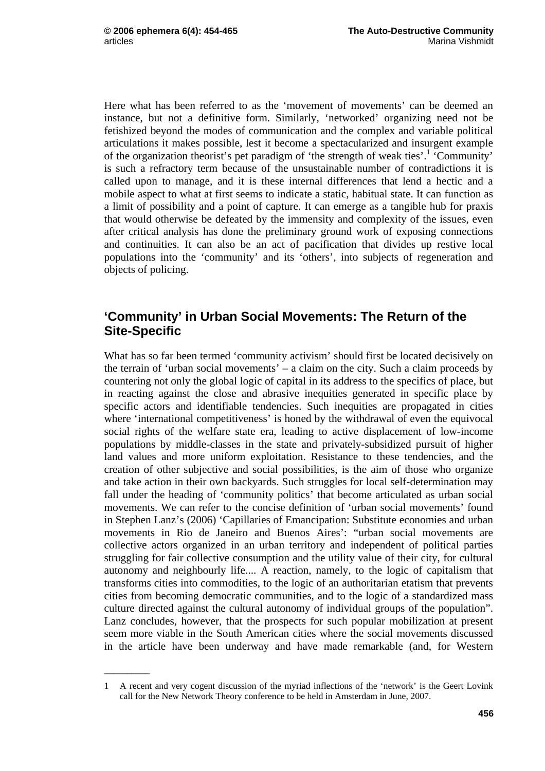\_\_\_\_\_\_\_\_\_\_

Here what has been referred to as the 'movement of movements' can be deemed an instance, but not a definitive form. Similarly, 'networked' organizing need not be fetishized beyond the modes of communication and the complex and variable political articulations it makes possible, lest it become a spectacularized and insurgent example of the organization theorist's pet paradigm of 'the strength of weak ties'.<sup>1</sup> 'Community' is such a refractory term because of the unsustainable number of contradictions it is called upon to manage, and it is these internal differences that lend a hectic and a mobile aspect to what at first seems to indicate a static, habitual state. It can function as a limit of possibility and a point of capture. It can emerge as a tangible hub for praxis that would otherwise be defeated by the immensity and complexity of the issues, even after critical analysis has done the preliminary ground work of exposing connections and continuities. It can also be an act of pacification that divides up restive local populations into the 'community' and its 'others', into subjects of regeneration and objects of policing.

#### **'Community' in Urban Social Movements: The Return of the Site-Specific**

What has so far been termed 'community activism' should first be located decisively on the terrain of 'urban social movements' – a claim on the city. Such a claim proceeds by countering not only the global logic of capital in its address to the specifics of place, but in reacting against the close and abrasive inequities generated in specific place by specific actors and identifiable tendencies. Such inequities are propagated in cities where 'international competitiveness' is honed by the withdrawal of even the equivocal social rights of the welfare state era, leading to active displacement of low-income populations by middle-classes in the state and privately-subsidized pursuit of higher land values and more uniform exploitation. Resistance to these tendencies, and the creation of other subjective and social possibilities, is the aim of those who organize and take action in their own backyards. Such struggles for local self-determination may fall under the heading of 'community politics' that become articulated as urban social movements. We can refer to the concise definition of 'urban social movements' found in Stephen Lanz's (2006) 'Capillaries of Emancipation: Substitute economies and urban movements in Rio de Janeiro and Buenos Aires': "urban social movements are collective actors organized in an urban territory and independent of political parties struggling for fair collective consumption and the utility value of their city, for cultural autonomy and neighbourly life.... A reaction, namely, to the logic of capitalism that transforms cities into commodities, to the logic of an authoritarian etatism that prevents cities from becoming democratic communities, and to the logic of a standardized mass culture directed against the cultural autonomy of individual groups of the population". Lanz concludes, however, that the prospects for such popular mobilization at present seem more viable in the South American cities where the social movements discussed in the article have been underway and have made remarkable (and, for Western

<sup>1</sup> A recent and very cogent discussion of the myriad inflections of the 'network' is the Geert Lovink call for the New Network Theory conference to be held in Amsterdam in June, 2007.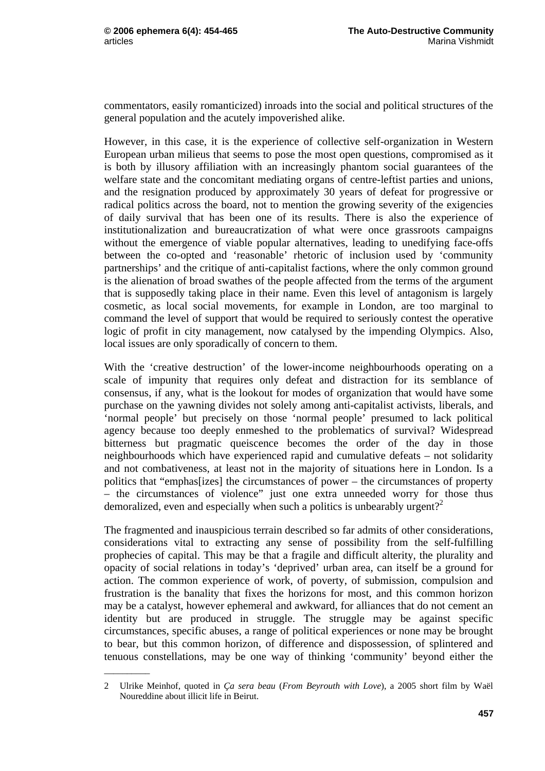\_\_\_\_\_\_\_\_\_\_

commentators, easily romanticized) inroads into the social and political structures of the general population and the acutely impoverished alike.

However, in this case, it is the experience of collective self-organization in Western European urban milieus that seems to pose the most open questions, compromised as it is both by illusory affiliation with an increasingly phantom social guarantees of the welfare state and the concomitant mediating organs of centre-leftist parties and unions, and the resignation produced by approximately 30 years of defeat for progressive or radical politics across the board, not to mention the growing severity of the exigencies of daily survival that has been one of its results. There is also the experience of institutionalization and bureaucratization of what were once grassroots campaigns without the emergence of viable popular alternatives, leading to unedifying face-offs between the co-opted and 'reasonable' rhetoric of inclusion used by 'community partnerships' and the critique of anti-capitalist factions, where the only common ground is the alienation of broad swathes of the people affected from the terms of the argument that is supposedly taking place in their name. Even this level of antagonism is largely cosmetic, as local social movements, for example in London, are too marginal to command the level of support that would be required to seriously contest the operative logic of profit in city management, now catalysed by the impending Olympics. Also, local issues are only sporadically of concern to them.

With the 'creative destruction' of the lower-income neighbourhoods operating on a scale of impunity that requires only defeat and distraction for its semblance of consensus, if any, what is the lookout for modes of organization that would have some purchase on the yawning divides not solely among anti-capitalist activists, liberals, and 'normal people' but precisely on those 'normal people' presumed to lack political agency because too deeply enmeshed to the problematics of survival? Widespread bitterness but pragmatic queiscence becomes the order of the day in those neighbourhoods which have experienced rapid and cumulative defeats – not solidarity and not combativeness, at least not in the majority of situations here in London. Is a politics that "emphas[izes] the circumstances of power – the circumstances of property – the circumstances of violence" just one extra unneeded worry for those thus demoralized, even and especially when such a politics is unbearably urgent?<sup>2</sup>

The fragmented and inauspicious terrain described so far admits of other considerations, considerations vital to extracting any sense of possibility from the self-fulfilling prophecies of capital. This may be that a fragile and difficult alterity, the plurality and opacity of social relations in today's 'deprived' urban area, can itself be a ground for action. The common experience of work, of poverty, of submission, compulsion and frustration is the banality that fixes the horizons for most, and this common horizon may be a catalyst, however ephemeral and awkward, for alliances that do not cement an identity but are produced in struggle. The struggle may be against specific circumstances, specific abuses, a range of political experiences or none may be brought to bear, but this common horizon, of difference and dispossession, of splintered and tenuous constellations, may be one way of thinking 'community' beyond either the

<sup>2</sup> Ulrike Meinhof, quoted in *Ça sera beau* (*From Beyrouth with Love*), a 2005 short film by Waël Noureddine about illicit life in Beirut.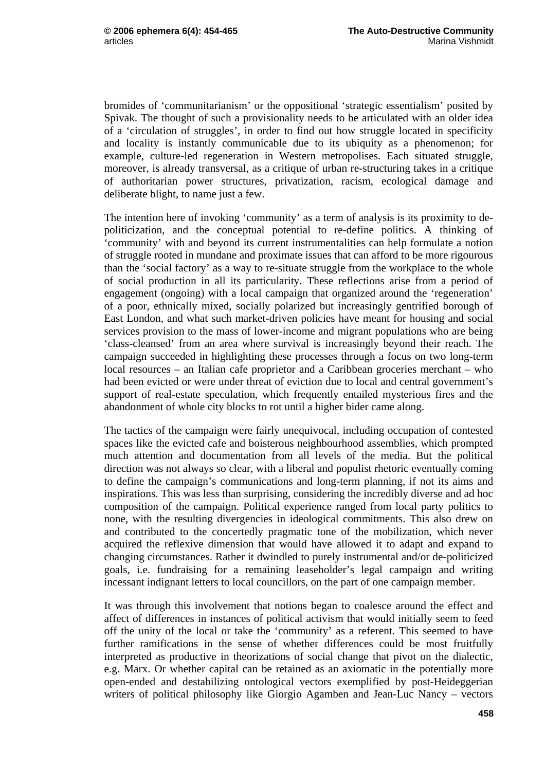bromides of 'communitarianism' or the oppositional 'strategic essentialism' posited by Spivak. The thought of such a provisionality needs to be articulated with an older idea of a 'circulation of struggles', in order to find out how struggle located in specificity and locality is instantly communicable due to its ubiquity as a phenomenon; for example, culture-led regeneration in Western metropolises. Each situated struggle, moreover, is already transversal, as a critique of urban re-structuring takes in a critique of authoritarian power structures, privatization, racism, ecological damage and deliberate blight, to name just a few.

The intention here of invoking 'community' as a term of analysis is its proximity to depoliticization, and the conceptual potential to re-define politics. A thinking of 'community' with and beyond its current instrumentalities can help formulate a notion of struggle rooted in mundane and proximate issues that can afford to be more rigourous than the 'social factory' as a way to re-situate struggle from the workplace to the whole of social production in all its particularity. These reflections arise from a period of engagement (ongoing) with a local campaign that organized around the 'regeneration' of a poor, ethnically mixed, socially polarized but increasingly gentrified borough of East London, and what such market-driven policies have meant for housing and social services provision to the mass of lower-income and migrant populations who are being 'class-cleansed' from an area where survival is increasingly beyond their reach. The campaign succeeded in highlighting these processes through a focus on two long-term local resources – an Italian cafe proprietor and a Caribbean groceries merchant – who had been evicted or were under threat of eviction due to local and central government's support of real-estate speculation, which frequently entailed mysterious fires and the abandonment of whole city blocks to rot until a higher bider came along.

The tactics of the campaign were fairly unequivocal, including occupation of contested spaces like the evicted cafe and boisterous neighbourhood assemblies, which prompted much attention and documentation from all levels of the media. But the political direction was not always so clear, with a liberal and populist rhetoric eventually coming to define the campaign's communications and long-term planning, if not its aims and inspirations. This was less than surprising, considering the incredibly diverse and ad hoc composition of the campaign. Political experience ranged from local party politics to none, with the resulting divergencies in ideological commitments. This also drew on and contributed to the concertedly pragmatic tone of the mobilization, which never acquired the reflexive dimension that would have allowed it to adapt and expand to changing circumstances. Rather it dwindled to purely instrumental and/or de-politicized goals, i.e. fundraising for a remaining leaseholder's legal campaign and writing incessant indignant letters to local councillors, on the part of one campaign member.

It was through this involvement that notions began to coalesce around the effect and affect of differences in instances of political activism that would initially seem to feed off the unity of the local or take the 'community' as a referent. This seemed to have further ramifications in the sense of whether differences could be most fruitfully interpreted as productive in theorizations of social change that pivot on the dialectic, e.g. Marx. Or whether capital can be retained as an axiomatic in the potentially more open-ended and destabilizing ontological vectors exemplified by post-Heideggerian writers of political philosophy like Giorgio Agamben and Jean-Luc Nancy – vectors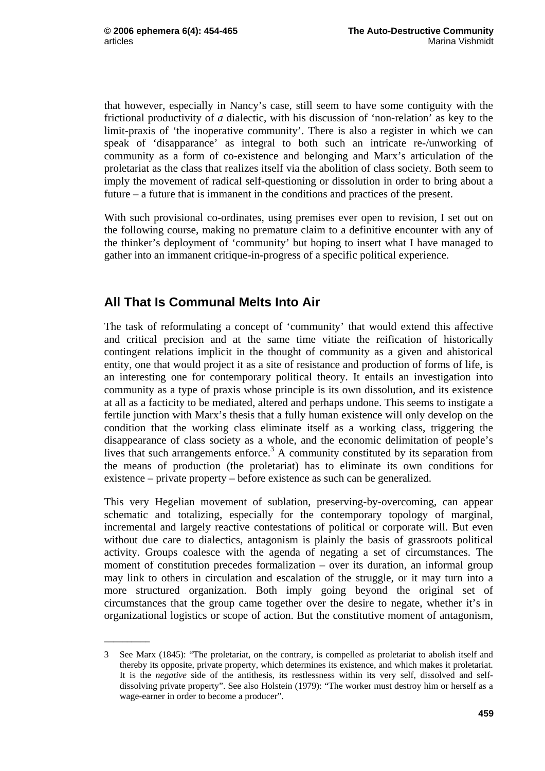that however, especially in Nancy's case, still seem to have some contiguity with the frictional productivity of *a* dialectic, with his discussion of 'non-relation' as key to the limit-praxis of 'the inoperative community'. There is also a register in which we can speak of 'disapparance' as integral to both such an intricate re-/unworking of community as a form of co-existence and belonging and Marx's articulation of the proletariat as the class that realizes itself via the abolition of class society. Both seem to imply the movement of radical self-questioning or dissolution in order to bring about a future – a future that is immanent in the conditions and practices of the present.

With such provisional co-ordinates, using premises ever open to revision, I set out on the following course, making no premature claim to a definitive encounter with any of the thinker's deployment of 'community' but hoping to insert what I have managed to gather into an immanent critique-in-progress of a specific political experience.

## **All That Is Communal Melts Into Air**

\_\_\_\_\_\_\_\_\_\_

The task of reformulating a concept of 'community' that would extend this affective and critical precision and at the same time vitiate the reification of historically contingent relations implicit in the thought of community as a given and ahistorical entity, one that would project it as a site of resistance and production of forms of life, is an interesting one for contemporary political theory. It entails an investigation into community as a type of praxis whose principle is its own dissolution, and its existence at all as a facticity to be mediated, altered and perhaps undone. This seems to instigate a fertile junction with Marx's thesis that a fully human existence will only develop on the condition that the working class eliminate itself as a working class, triggering the disappearance of class society as a whole, and the economic delimitation of people's lives that such arrangements enforce.<sup>3</sup> A community constituted by its separation from the means of production (the proletariat) has to eliminate its own conditions for existence – private property – before existence as such can be generalized.

This very Hegelian movement of sublation, preserving-by-overcoming, can appear schematic and totalizing, especially for the contemporary topology of marginal, incremental and largely reactive contestations of political or corporate will. But even without due care to dialectics, antagonism is plainly the basis of grassroots political activity. Groups coalesce with the agenda of negating a set of circumstances. The moment of constitution precedes formalization – over its duration, an informal group may link to others in circulation and escalation of the struggle, or it may turn into a more structured organization. Both imply going beyond the original set of circumstances that the group came together over the desire to negate, whether it's in organizational logistics or scope of action. But the constitutive moment of antagonism,

<sup>3</sup> See Marx (1845): "The proletariat, on the contrary, is compelled as proletariat to abolish itself and thereby its opposite, private property, which determines its existence, and which makes it proletariat. It is the *negative* side of the antithesis, its restlessness within its very self, dissolved and selfdissolving private property". See also Holstein (1979): "The worker must destroy him or herself as a wage-earner in order to become a producer".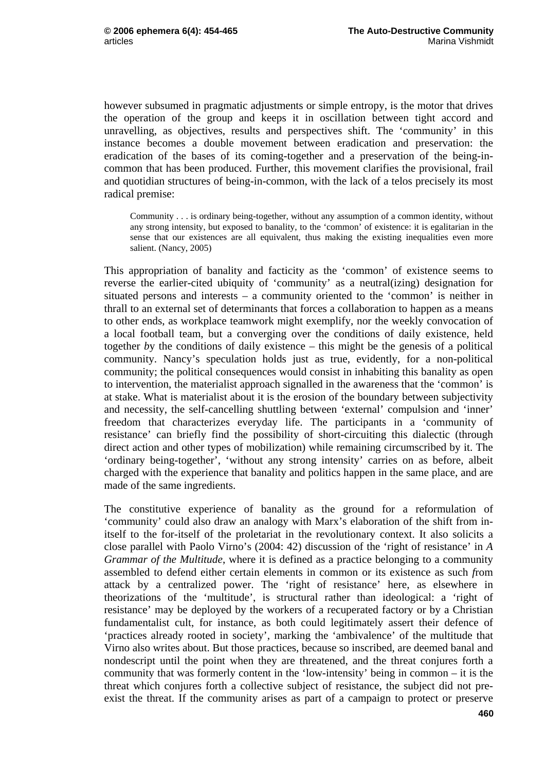however subsumed in pragmatic adjustments or simple entropy, is the motor that drives the operation of the group and keeps it in oscillation between tight accord and unravelling, as objectives, results and perspectives shift. The 'community' in this instance becomes a double movement between eradication and preservation: the eradication of the bases of its coming-together and a preservation of the being-incommon that has been produced. Further, this movement clarifies the provisional, frail and quotidian structures of being-in-common, with the lack of a telos precisely its most radical premise:

Community . . . is ordinary being-together, without any assumption of a common identity, without any strong intensity, but exposed to banality, to the 'common' of existence: it is egalitarian in the sense that our existences are all equivalent, thus making the existing inequalities even more salient. (Nancy, 2005)

This appropriation of banality and facticity as the 'common' of existence seems to reverse the earlier-cited ubiquity of 'community' as a neutral(izing) designation for situated persons and interests – a community oriented to the 'common' is neither in thrall to an external set of determinants that forces a collaboration to happen as a means to other ends, as workplace teamwork might exemplify, nor the weekly convocation of a local football team, but a converging over the conditions of daily existence, held together *b*y the conditions of daily existence – this might be the genesis of a political community. Nancy's speculation holds just as true, evidently, for a non-political community; the political consequences would consist in inhabiting this banality as open to intervention, the materialist approach signalled in the awareness that the 'common' is at stake. What is materialist about it is the erosion of the boundary between subjectivity and necessity, the self-cancelling shuttling between 'external' compulsion and 'inner' freedom that characterizes everyday life. The participants in a 'community of resistance' can briefly find the possibility of short-circuiting this dialectic (through direct action and other types of mobilization) while remaining circumscribed by it. The 'ordinary being-together', 'without any strong intensity' carries on as before, albeit charged with the experience that banality and politics happen in the same place, and are made of the same ingredients.

The constitutive experience of banality as the ground for a reformulation of 'community' could also draw an analogy with Marx's elaboration of the shift from initself to the for-itself of the proletariat in the revolutionary context. It also solicits a close parallel with Paolo Virno's (2004: 42) discussion of the 'right of resistance' in *A Grammar of the Multitude*, where it is defined as a practice belonging to a community assembled to defend either certain elements in common or its existence as such *f*rom attack by a centralized power. The 'right of resistance' here, as elsewhere in theorizations of the 'multitude', is structural rather than ideological: a 'right of resistance' may be deployed by the workers of a recuperated factory or by a Christian fundamentalist cult, for instance, as both could legitimately assert their defence of 'practices already rooted in society', marking the 'ambivalence' of the multitude that Virno also writes about. But those practices, because so inscribed, are deemed banal and nondescript until the point when they are threatened, and the threat conjures forth a community that was formerly content in the 'low-intensity' being in common – it is the threat which conjures forth a collective subject of resistance, the subject did not preexist the threat. If the community arises as part of a campaign to protect or preserve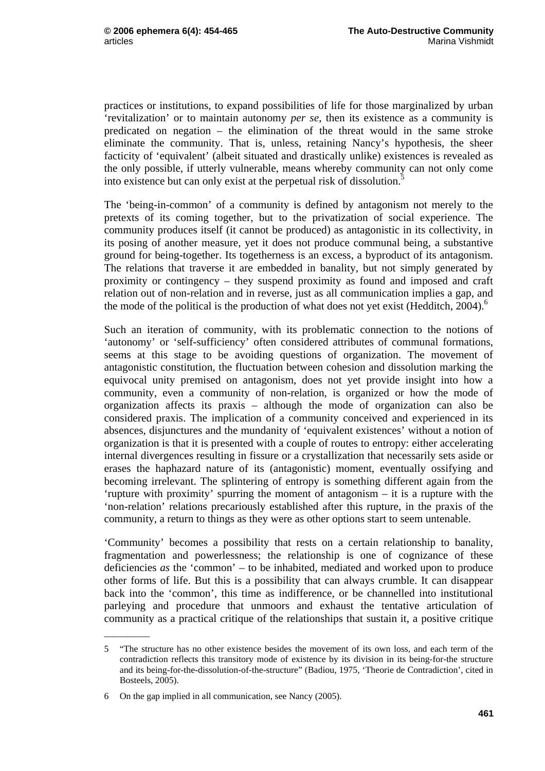practices or institutions, to expand possibilities of life for those marginalized by urban 'revitalization' or to maintain autonomy *per se*, then its existence as a community is predicated on negation – the elimination of the threat would in the same stroke eliminate the community. That is, unless, retaining Nancy's hypothesis, the sheer facticity of 'equivalent' (albeit situated and drastically unlike) existences is revealed as the only possible, if utterly vulnerable, means whereby community can not only come into existence but can only exist at the perpetual risk of dissolution.<sup>5</sup>

The 'being-in-common' of a community is defined by antagonism not merely to the pretexts of its coming together, but to the privatization of social experience. The community produces itself (it cannot be produced) as antagonistic in its collectivity, in its posing of another measure, yet it does not produce communal being, a substantive ground for being-together. Its togetherness is an excess, a byproduct of its antagonism. The relations that traverse it are embedded in banality, but not simply generated by proximity or contingency – they suspend proximity as found and imposed and craft relation out of non-relation and in reverse, just as all communication implies a gap, and the mode of the political is the production of what does not yet exist (Hedditch,  $2004$ ).<sup>6</sup>

Such an iteration of community, with its problematic connection to the notions of 'autonomy' or 'self-sufficiency' often considered attributes of communal formations, seems at this stage to be avoiding questions of organization. The movement of antagonistic constitution, the fluctuation between cohesion and dissolution marking the equivocal unity premised on antagonism, does not yet provide insight into how a community, even a community of non-relation, is organized or how the mode of organization affects its praxis – although the mode of organization can also be considered praxis. The implication of a community conceived and experienced in its absences, disjunctures and the mundanity of 'equivalent existences' without a notion of organization is that it is presented with a couple of routes to entropy: either accelerating internal divergences resulting in fissure or a crystallization that necessarily sets aside or erases the haphazard nature of its (antagonistic) moment, eventually ossifying and becoming irrelevant. The splintering of entropy is something different again from the 'rupture with proximity' spurring the moment of antagonism – it is a rupture with the 'non-relation' relations precariously established after this rupture, in the praxis of the community, a return to things as they were as other options start to seem untenable.

'Community' becomes a possibility that rests on a certain relationship to banality, fragmentation and powerlessness; the relationship is one of cognizance of these deficiencies *as* the 'common' – to be inhabited, mediated and worked upon to produce other forms of life. But this is a possibility that can always crumble. It can disappear back into the 'common', this time as indifference, or be channelled into institutional parleying and procedure that unmoors and exhaust the tentative articulation of community as a practical critique of the relationships that sustain it, a positive critique

\_\_\_\_\_\_\_\_\_\_

<sup>5 &</sup>quot;The structure has no other existence besides the movement of its own loss, and each term of the contradiction reflects this transitory mode of existence by its division in its being-for-the structure and its being-for-the-dissolution-of-the-structure" (Badiou, 1975, 'Theorie de Contradiction', cited in Bosteels, 2005).

<sup>6</sup> On the gap implied in all communication, see Nancy (2005).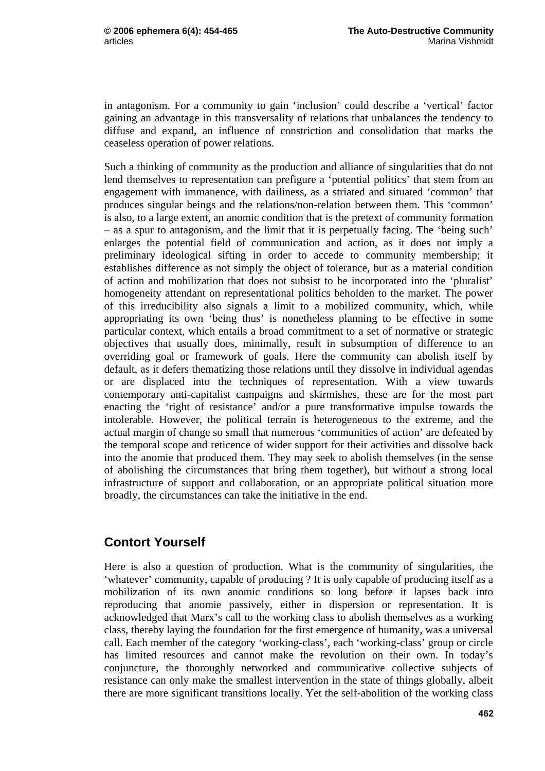in antagonism. For a community to gain 'inclusion' could describe a 'vertical' factor gaining an advantage in this transversality of relations that unbalances the tendency to diffuse and expand, an influence of constriction and consolidation that marks the ceaseless operation of power relations.

Such a thinking of community as the production and alliance of singularities that do not lend themselves to representation can prefigure a 'potential politics' that stem from an engagement with immanence, with dailiness, as a striated and situated 'common' that produces singular beings and the relations/non-relation between them. This 'common' is also, to a large extent, an anomic condition that is the pretext of community formation – as a spur to antagonism, and the limit that it is perpetually facing. The 'being such' enlarges the potential field of communication and action, as it does not imply a preliminary ideological sifting in order to accede to community membership; it establishes difference as not simply the object of tolerance, but as a material condition of action and mobilization that does not subsist to be incorporated into the 'pluralist' homogeneity attendant on representational politics beholden to the market. The power of this irreducibility also signals a limit to a mobilized community, which, while appropriating its own 'being thus' is nonetheless planning to be effective in some particular context, which entails a broad commitment to a set of normative or strategic objectives that usually does, minimally, result in subsumption of difference to an overriding goal or framework of goals. Here the community can abolish itself by default, as it defers thematizing those relations until they dissolve in individual agendas or are displaced into the techniques of representation. With a view towards contemporary anti-capitalist campaigns and skirmishes, these are for the most part enacting the 'right of resistance' and/or a pure transformative impulse towards the intolerable. However, the political terrain is heterogeneous to the extreme, and the actual margin of change so small that numerous 'communities of action' are defeated by the temporal scope and reticence of wider support for their activities and dissolve back into the anomie that produced them. They may seek to abolish themselves (in the sense of abolishing the circumstances that bring them together), but without a strong local infrastructure of support and collaboration, or an appropriate political situation more broadly, the circumstances can take the initiative in the end.

## **Contort Yourself**

Here is also a question of production. What is the community of singularities, the 'whatever' community, capable of producing ? It is only capable of producing itself as a mobilization of its own anomic conditions so long before it lapses back into reproducing that anomie passively, either in dispersion or representation. It is acknowledged that Marx's call to the working class to abolish themselves as a working class, thereby laying the foundation for the first emergence of humanity, was a universal call. Each member of the category 'working-class', each 'working-class' group or circle has limited resources and cannot make the revolution on their own. In today's conjuncture, the thoroughly networked and communicative collective subjects of resistance can only make the smallest intervention in the state of things globally, albeit there are more significant transitions locally. Yet the self-abolition of the working class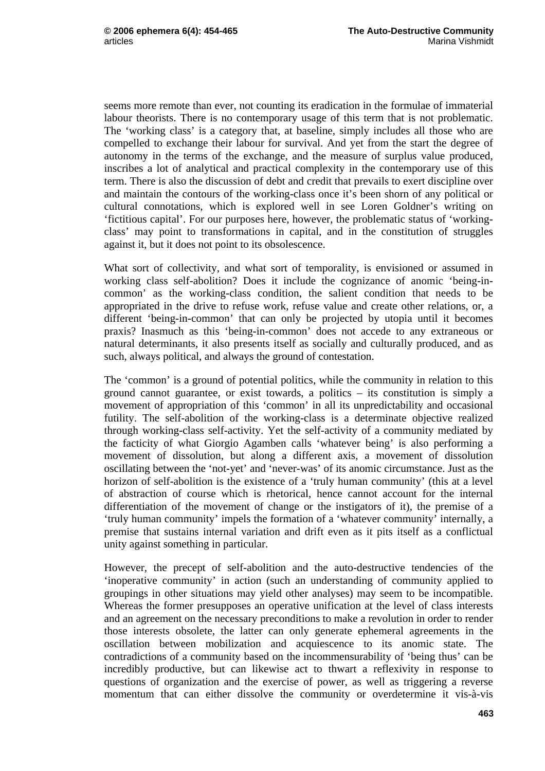seems more remote than ever, not counting its eradication in the formulae of immaterial labour theorists. There is no contemporary usage of this term that is not problematic. The 'working class' is a category that, at baseline, simply includes all those who are compelled to exchange their labour for survival. And yet from the start the degree of autonomy in the terms of the exchange, and the measure of surplus value produced, inscribes a lot of analytical and practical complexity in the contemporary use of this term. There is also the discussion of debt and credit that prevails to exert discipline over and maintain the contours of the working-class once it's been shorn of any political or cultural connotations, which is explored well in see Loren Goldner's writing on 'fictitious capital'. For our purposes here, however, the problematic status of 'workingclass' may point to transformations in capital, and in the constitution of struggles against it, but it does not point to its obsolescence.

What sort of collectivity, and what sort of temporality, is envisioned or assumed in working class self-abolition? Does it include the cognizance of anomic 'being-incommon' as the working-class condition, the salient condition that needs to be appropriated in the drive to refuse work, refuse value and create other relations, or, a different 'being-in-common' that can only be projected by utopia until it becomes praxis? Inasmuch as this 'being-in-common' does not accede to any extraneous or natural determinants, it also presents itself as socially and culturally produced, and as such, always political, and always the ground of contestation.

The 'common' is a ground of potential politics, while the community in relation to this ground cannot guarantee, or exist towards, a politics – its constitution is simply a movement of appropriation of this 'common' in all its unpredictability and occasional futility. The self-abolition of the working-class is a determinate objective realized through working-class self-activity. Yet the self-activity of a community mediated by the facticity of what Giorgio Agamben calls 'whatever being' is also performing a movement of dissolution, but along a different axis, a movement of dissolution oscillating between the 'not-yet' and 'never-was' of its anomic circumstance. Just as the horizon of self-abolition is the existence of a 'truly human community' (this at a level of abstraction of course which is rhetorical, hence cannot account for the internal differentiation of the movement of change or the instigators of it), the premise of a 'truly human community' impels the formation of a 'whatever community' internally, a premise that sustains internal variation and drift even as it pits itself as a conflictual unity against something in particular.

However, the precept of self-abolition and the auto-destructive tendencies of the 'inoperative community' in action (such an understanding of community applied to groupings in other situations may yield other analyses) may seem to be incompatible. Whereas the former presupposes an operative unification at the level of class interests and an agreement on the necessary preconditions to make a revolution in order to render those interests obsolete, the latter can only generate ephemeral agreements in the oscillation between mobilization and acquiescence to its anomic state. The contradictions of a community based on the incommensurability of 'being thus' can be incredibly productive, but can likewise act to thwart a reflexivity in response to questions of organization and the exercise of power, as well as triggering a reverse momentum that can either dissolve the community or overdetermine it vis-à-vis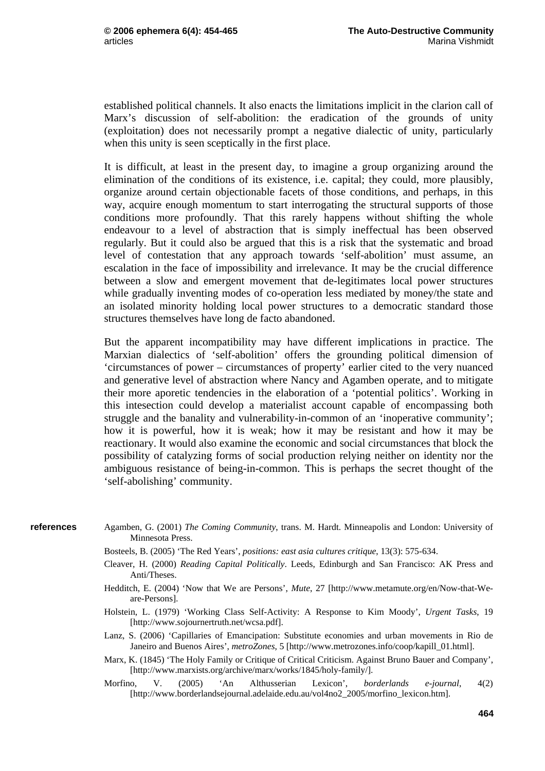established political channels. It also enacts the limitations implicit in the clarion call of Marx's discussion of self-abolition: the eradication of the grounds of unity (exploitation) does not necessarily prompt a negative dialectic of unity, particularly when this unity is seen sceptically in the first place.

It is difficult, at least in the present day, to imagine a group organizing around the elimination of the conditions of its existence, i.e. capital; they could, more plausibly, organize around certain objectionable facets of those conditions, and perhaps, in this way, acquire enough momentum to start interrogating the structural supports of those conditions more profoundly. That this rarely happens without shifting the whole endeavour to a level of abstraction that is simply ineffectual has been observed regularly. But it could also be argued that this is a risk that the systematic and broad level of contestation that any approach towards 'self-abolition' must assume, an escalation in the face of impossibility and irrelevance. It may be the crucial difference between a slow and emergent movement that de-legitimates local power structures while gradually inventing modes of co-operation less mediated by money/the state and an isolated minority holding local power structures to a democratic standard those structures themselves have long de facto abandoned.

But the apparent incompatibility may have different implications in practice. The Marxian dialectics of 'self-abolition' offers the grounding political dimension of 'circumstances of power – circumstances of property' earlier cited to the very nuanced and generative level of abstraction where Nancy and Agamben operate, and to mitigate their more aporetic tendencies in the elaboration of a 'potential politics'. Working in this intesection could develop a materialist account capable of encompassing both struggle and the banality and vulnerability-in-common of an 'inoperative community'; how it is powerful, how it is weak; how it may be resistant and how it may be reactionary. It would also examine the economic and social circumstances that block the possibility of catalyzing forms of social production relying neither on identity nor the ambiguous resistance of being-in-common. This is perhaps the secret thought of the 'self-abolishing' community.

- Agamben, G. (2001) *The Coming Community*, trans. M. Hardt. Minneapolis and London: University of Minnesota Press. **references** 
	- Bosteels, B. (2005) 'The Red Years', *positions: east asia cultures critique*, 13(3): 575-634.
	- Cleaver, H. (2000) *Reading Capital Politically*. Leeds, Edinburgh and San Francisco: AK Press and Anti/Theses.
	- Hedditch, E. (2004) 'Now that We are Persons', *Mute*, 27 [http://www.metamute.org/en/Now-that-Weare-Persons].
	- Holstein, L. (1979) 'Working Class Self-Activity: A Response to Kim Moody', *Urgent Tasks*, 19 [http://www.sojournertruth.net/wcsa.pdf].
	- Lanz, S. (2006) 'Capillaries of Emancipation: Substitute economies and urban movements in Rio de Janeiro and Buenos Aires', *metroZones*, 5 [http://www.metrozones.info/coop/kapill\_01.html].
	- Marx, K. (1845) 'The Holy Family or Critique of Critical Criticism. Against Bruno Bauer and Company', [http://www.marxists.org/archive/marx/works/1845/holy-family/].
	- Morfino, V. (2005) 'An Althusserian Lexicon', *borderlands e-journal*, 4(2) [http://www.borderlandsejournal.adelaide.edu.au/vol4no2\_2005/morfino\_lexicon.htm].